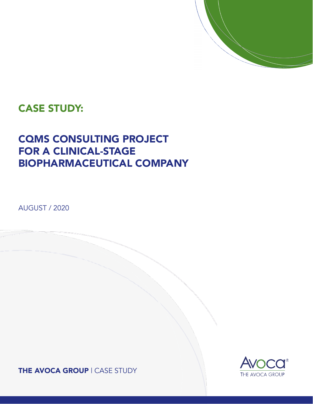

### CASE STUDY:

# CQMS CONSULTING PROJECT FOR A CLINICAL-STAGE BIOPHARMACEUTICAL COMPANY

AUGUST / 2020

THE AVOCA GROUP | CASE STUDY

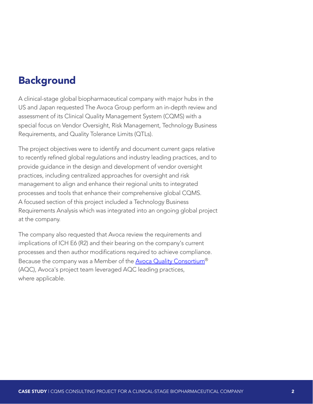### Background

A clinical-stage global biopharmaceutical company with major hubs in the US and Japan requested The Avoca Group perform an in-depth review and assessment of its Clinical Quality Management System (CQMS) with a special focus on Vendor Oversight, Risk Management, Technology Business Requirements, and Quality Tolerance Limits (QTLs).

The project objectives were to identify and document current gaps relative to recently refined global regulations and industry leading practices, and to provide guidance in the design and development of vendor oversight practices, including centralized approaches for oversight and risk management to align and enhance their regional units to integrated processes and tools that enhance their comprehensive global CQMS. A focused section of this project included a Technology Business Requirements Analysis which was integrated into an ongoing global project at the company.

The company also requested that Avoca review the requirements and implications of ICH E6 (R2) and their bearing on the company's current processes and then author modifications required to achieve compliance. Because the company was a Member of the Avoca Quality Consortium<sup>®</sup> (AQC), Avoca's project team leveraged AQC leading practices, where applicable.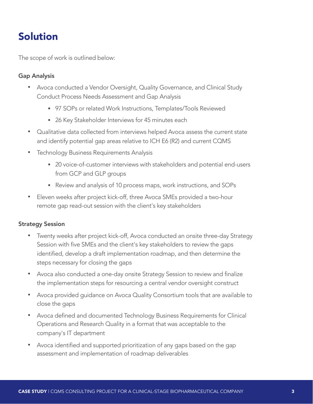## Solution

The scope of work is outlined below:

### Gap Analysis

- Avoca conducted a Vendor Oversight, Quality Governance, and Clinical Study Conduct Process Needs Assessment and Gap Analysis
	- § 97 SOPs or related Work Instructions, Templates/Tools Reviewed
	- 26 Key Stakeholder Interviews for 45 minutes each
- Qualitative data collected from interviews helped Avoca assess the current state and identify potential gap areas relative to ICH E6 (R2) and current CQMS
- Technology Business Requirements Analysis
	- 20 voice-of-customer interviews with stakeholders and potential end-users from GCP and GLP groups
	- § Review and analysis of 10 process maps, work instructions, and SOPs
- Eleven weeks after project kick-off, three Avoca SMEs provided a two-hour remote gap read-out session with the client's key stakeholders

#### Strategy Session

- Twenty weeks after project kick-off, Avoca conducted an onsite three-day Strategy Session with five SMEs and the client's key stakeholders to review the gaps identified, develop a draft implementation roadmap, and then determine the steps necessary for closing the gaps
- Avoca also conducted a one-day onsite Strategy Session to review and finalize the implementation steps for resourcing a central vendor oversight construct
- Avoca provided guidance on Avoca Quality Consortium tools that are available to close the gaps
- Avoca defined and documented Technology Business Requirements for Clinical Operations and Research Quality in a format that was acceptable to the company's IT department
- Avoca identified and supported prioritization of any gaps based on the gap assessment and implementation of roadmap deliverables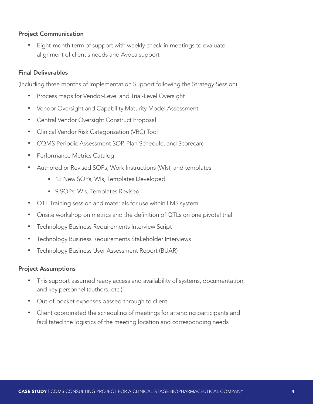#### Project Communication

• Eight-month term of support with weekly check-in meetings to evaluate alignment of client's needs and Avoca support

#### Final Deliverables

(Including three months of Implementation Support following the Strategy Session)

- Process maps for Vendor-Level and Trial-Level Oversight
- Vendor Oversight and Capability Maturity Model Assessment
- Central Vendor Oversight Construct Proposal
- Clinical Vendor Risk Categorization (VRC) Tool
- CQMS Periodic Assessment SOP, Plan Schedule, and Scorecard
- Performance Metrics Catalog
- Authored or Revised SOPs, Work Instructions (WIs), and templates
	- **12 New SOPs, WIs, Templates Developed**
	- § 9 SOPs, WIs, Templates Revised
- QTL Training session and materials for use within LMS system
- Onsite workshop on metrics and the definition of QTLs on one pivotal trial
- Technology Business Requirements Interview Script
- Technology Business Requirements Stakeholder Interviews
- Technology Business User Assessment Report (BUAR)

#### Project Assumptions

- This support assumed ready access and availability of systems, documentation, and key personnel (authors, etc.)
- Out-of-pocket expenses passed-through to client
- Client coordinated the scheduling of meetings for attending participants and facilitated the logistics of the meeting location and corresponding needs